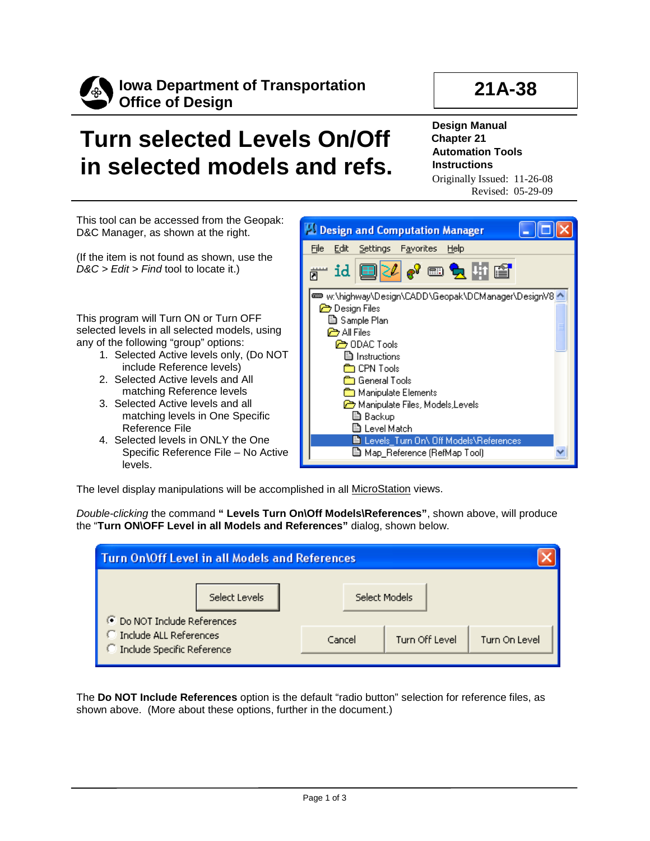

## **21A-38**

## **Turn selected Levels On/Off in selected models and refs.**

**Design Manual Chapter 21 Automation Tools Instructions** Originally Issued: 11-26-08

Revised: 05-29-09

This tool can be accessed from the Geopak: D&C Manager, as shown at the right.

(If the item is not found as shown, use the *D&C > Edit > Find* tool to locate it.)

This program will Turn ON or Turn OFF selected levels in all selected models, using any of the following "group" options:

- 1. Selected Active levels only, (Do NOT include Reference levels)
- 2. Selected Active levels and All matching Reference levels
- 3. Selected Active levels and all matching levels in One Specific Reference File
- 4. Selected levels in ONLY the One Specific Reference File – No Active levels.



The level display manipulations will be accomplished in all MicroStation views.

*Double-clicking* the command **" Levels Turn On\Off Models\References"**, shown above, will produce the "**Turn ON\OFF Level in all Models and References"** dialog, shown below.

| <b>Turn On Off Level in all Models and References</b> |               |                |               |  |  |  |
|-------------------------------------------------------|---------------|----------------|---------------|--|--|--|
| Select Levels<br><b>C</b> Do NOT Include References   | Select Models |                |               |  |  |  |
| Include ALL References<br>Include Specific Reference  | Cancel        | Turn Off Level | Turn On Level |  |  |  |

The **Do NOT Include References** option is the default "radio button" selection for reference files, as shown above. (More about these options, further in the document.)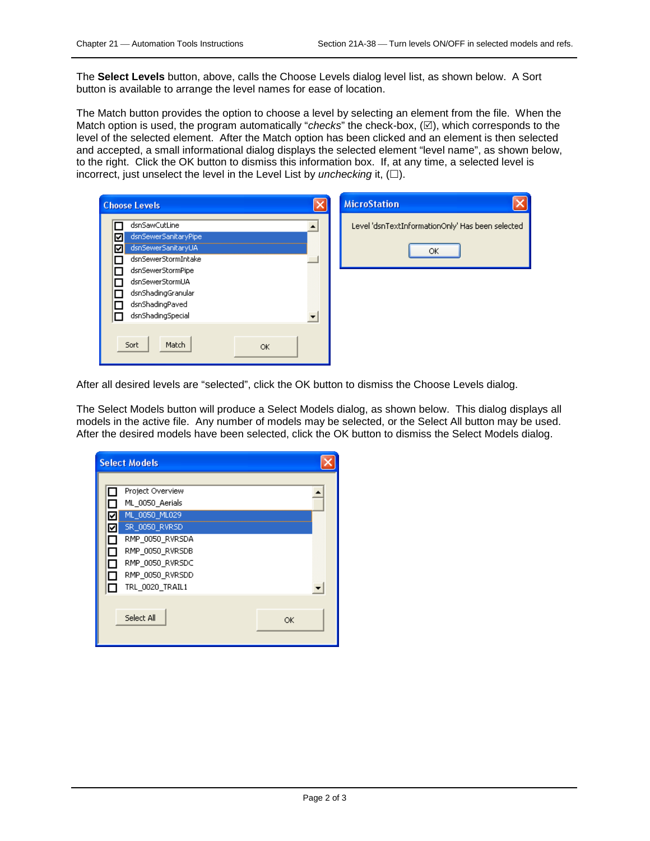The **Select Levels** button, above, calls the Choose Levels dialog level list, as shown below. A Sort button is available to arrange the level names for ease of location.

The Match button provides the option to choose a level by selecting an element from the file. When the Match option is used, the program automatically "*checks*" the check-box,  $(\mathbb{Z})$ , which corresponds to the level of the selected element. After the Match option has been clicked and an element is then selected and accepted, a small informational dialog displays the selected element "level name", as shown below, to the right. Click the OK button to dismiss this information box. If, at any time, a selected level is incorrect, just unselect the level in the Level List by *unchecking* it,  $(\Box)$ .

| <b>Choose Levels</b>                                                                                                                                                                                    | <b>MicroStation</b>                                    |
|---------------------------------------------------------------------------------------------------------------------------------------------------------------------------------------------------------|--------------------------------------------------------|
| dsnSawCutLine<br>dsnSewerSanitaryPipe<br>⊽<br>dsnSewerSanitaryUA<br>⊽<br>dsnSewerStormIntake<br>dsnSewerStormPipe<br>dsnSewerStormUA<br>dsnShadingGranular<br>dsnShadingPaved<br>E<br>dsnShadingSpecial | Level 'dsnTextInformationOnly' Has been selected<br>ОК |
| Sort<br>Match<br>OK.                                                                                                                                                                                    |                                                        |

After all desired levels are "selected", click the OK button to dismiss the Choose Levels dialog.

The Select Models button will produce a Select Models dialog, as shown below. This dialog displays all models in the active file. Any number of models may be selected, or the Select All button may be used. After the desired models have been selected, click the OK button to dismiss the Select Models dialog.

|                       | <b>Select Models</b>                                                                                                                                                 |    |
|-----------------------|----------------------------------------------------------------------------------------------------------------------------------------------------------------------|----|
| ⊽<br>⊻<br>L<br>П<br>П | Project Overview<br>ML 0050 Aerials<br>ML 0050 ML029<br>SR_0050_RVRSD<br>RMP_0050_RVRSDA<br>RMP_0050_RVRSDB<br>RMP_0050_RVRSDC<br>RMP_0050_RVRSDD<br>TRL 0020 TRAIL1 |    |
|                       | Select All                                                                                                                                                           | ОК |